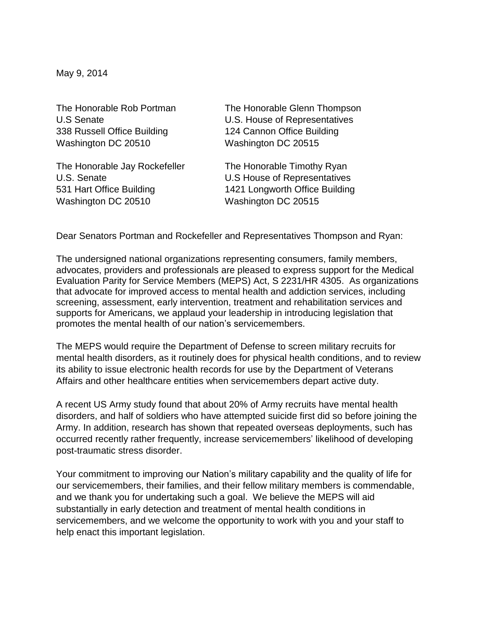May 9, 2014

338 Russell Office Building 124 Cannon Office Building Washington DC 20510 Washington DC 20515

The Honorable Jay Rockefeller The Honorable Timothy Ryan U.S. Senate U.S House of Representatives Washington DC 20510 Washington DC 20515

The Honorable Rob Portman The Honorable Glenn Thompson U.S Senate U.S. House of Representatives

531 Hart Office Building 1421 Longworth Office Building

Dear Senators Portman and Rockefeller and Representatives Thompson and Ryan:

The undersigned national organizations representing consumers, family members, advocates, providers and professionals are pleased to express support for the Medical Evaluation Parity for Service Members (MEPS) Act, S 2231/HR 4305. As organizations that advocate for improved access to mental health and addiction services, including screening, assessment, early intervention, treatment and rehabilitation services and supports for Americans, we applaud your leadership in introducing legislation that promotes the mental health of our nation's servicemembers.

The MEPS would require the Department of Defense to screen military recruits for mental health disorders, as it routinely does for physical health conditions, and to review its ability to issue electronic health records for use by the Department of Veterans Affairs and other healthcare entities when servicemembers depart active duty.

A recent US Army study found that about 20% of Army recruits have mental health disorders, and half of soldiers who have attempted suicide first did so before joining the Army. In addition, research has shown that repeated overseas deployments, such has occurred recently rather frequently, increase servicemembers' likelihood of developing post-traumatic stress disorder.

Your commitment to improving our Nation's military capability and the quality of life for our servicemembers, their families, and their fellow military members is commendable, and we thank you for undertaking such a goal. We believe the MEPS will aid substantially in early detection and treatment of mental health conditions in servicemembers, and we welcome the opportunity to work with you and your staff to help enact this important legislation.